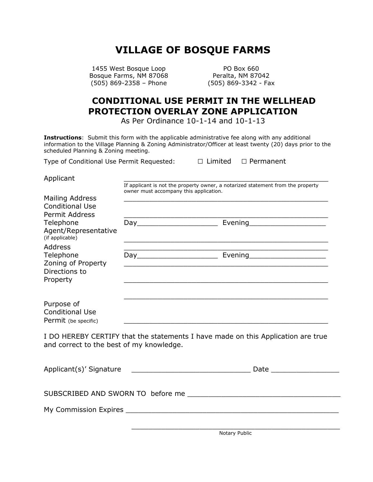## **VILLAGE OF BOSQUE FARMS**

1455 West Bosque Loop PO Box 660 Bosque Farms, NM 87068 Peralta, NM 87042 (505) 869-2358 – Phone (505) 869-3342 - Fax

## **CONDITIONAL USE PERMIT IN THE WELLHEAD PROTECTION OVERLAY ZONE APPLICATION**

As Per Ordinance 10-1-14 and 10-1-13

**Instructions**: Submit this form with the applicable administrative fee along with any additional information to the Village Planning & Zoning Administrator/Officer at least twenty (20) days prior to the scheduled Planning & Zoning meeting.

Type of Conditional Use Permit Requested:  $\Box$  Limited  $\Box$  Permanent

| $\Box$ Limited | $\Box$ Permane |  |
|----------------|----------------|--|
|                |                |  |

Applicant \_\_\_\_\_\_\_\_\_\_\_\_\_\_\_\_\_\_\_\_\_\_\_\_\_\_\_\_\_\_\_\_\_\_\_\_\_\_\_\_\_\_\_\_\_\_\_\_

If applicant is not the property owner, a notarized statement from the property owner must accompany this application.

| Mailing Address<br><b>Conditional Use</b><br><b>Permit Address</b>      |     |                                                                                 |
|-------------------------------------------------------------------------|-----|---------------------------------------------------------------------------------|
| Telephone<br>Agent/Representative<br>(if applicable)                    |     | Evening                                                                         |
| Address<br>Telephone<br>Zoning of Property<br>Directions to<br>Property | Day | Evening________________________                                                 |
| Purpose of<br><b>Conditional Use</b><br>Permit (be specific)            |     |                                                                                 |
|                                                                         |     | I DO UEDEDV CEDIIDV Heet the statements I have mede an this Anglication and two |

I DO HEREBY CERTIFY that the statements I have made on this Application are true and correct to the best of my knowledge.

| Applicant(s)' Signature<br><u> 1980 - Jan James James Sandarík (</u> † 1920) | Date<br>the control of the control of the control of the control of |
|------------------------------------------------------------------------------|---------------------------------------------------------------------|
|                                                                              |                                                                     |
| My Commission Expires <b>Expires Expires Expires Expires EXPIRES</b>         |                                                                     |
|                                                                              |                                                                     |

Notary Public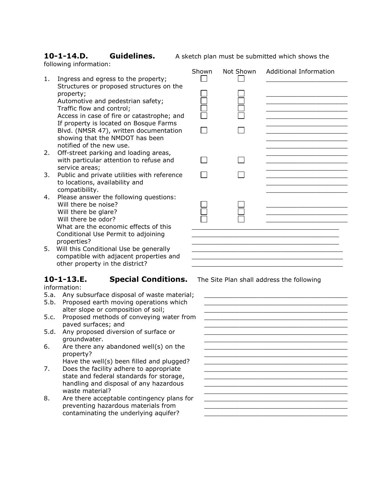following information:

**10-1-14.D. Guidelines.** A sketch plan must be submitted which shows the

- 1. Ingress and egress to the property; Structures or proposed structures on the property; Automotive and pedestrian safety; Traffic flow and control; Access in case of fire or catastrophe; and If property is located on Bosque Farms Blvd. (NMSR 47), written documentation showing that the NMDOT has been notified of the new use. 2. Off-street parking and loading areas, with particular attention to refuse and service areas;
- 3. Public and private utilities with reference to locations, availability and compatibility.
- 4. Please answer the following questions: Will there be noise? Will there be glare? Will there be odor? What are the economic effects of this Conditional Use Permit to adjoining properties?
- 5. Will this Conditional Use be generally compatible with adjacent properties and other property in the district?

## **10-1-13.E. Special Conditions.** The Site Plan shall address the following

information:

- 5.a. Any subsurface disposal of waste materia
- 5.b. Proposed earth moving operations which alter slope or composition of soil;
- 5.c. Proposed methods of conveying water from paved surfaces; and
- 5.d. Any proposed diversion of surface or groundwater.
- 6. Are there any abandoned well(s) on the property?
- Have the well(s) been filled and plugged? 7. Does the facility adhere to appropriate
- state and federal standards for storage, handling and disposal of any hazardous waste material?
- 8. Are there acceptable contingency plans for preventing hazardous materials from contaminating the underlying aquifer?

|  | Shown Not Shown Additional Information |
|--|----------------------------------------|
|  |                                        |
|  |                                        |
|  |                                        |
|  |                                        |
|  |                                        |
|  |                                        |
|  |                                        |

| al; |  |
|-----|--|
| om  |  |
|     |  |
| ?   |  |
|     |  |
| or  |  |
|     |  |